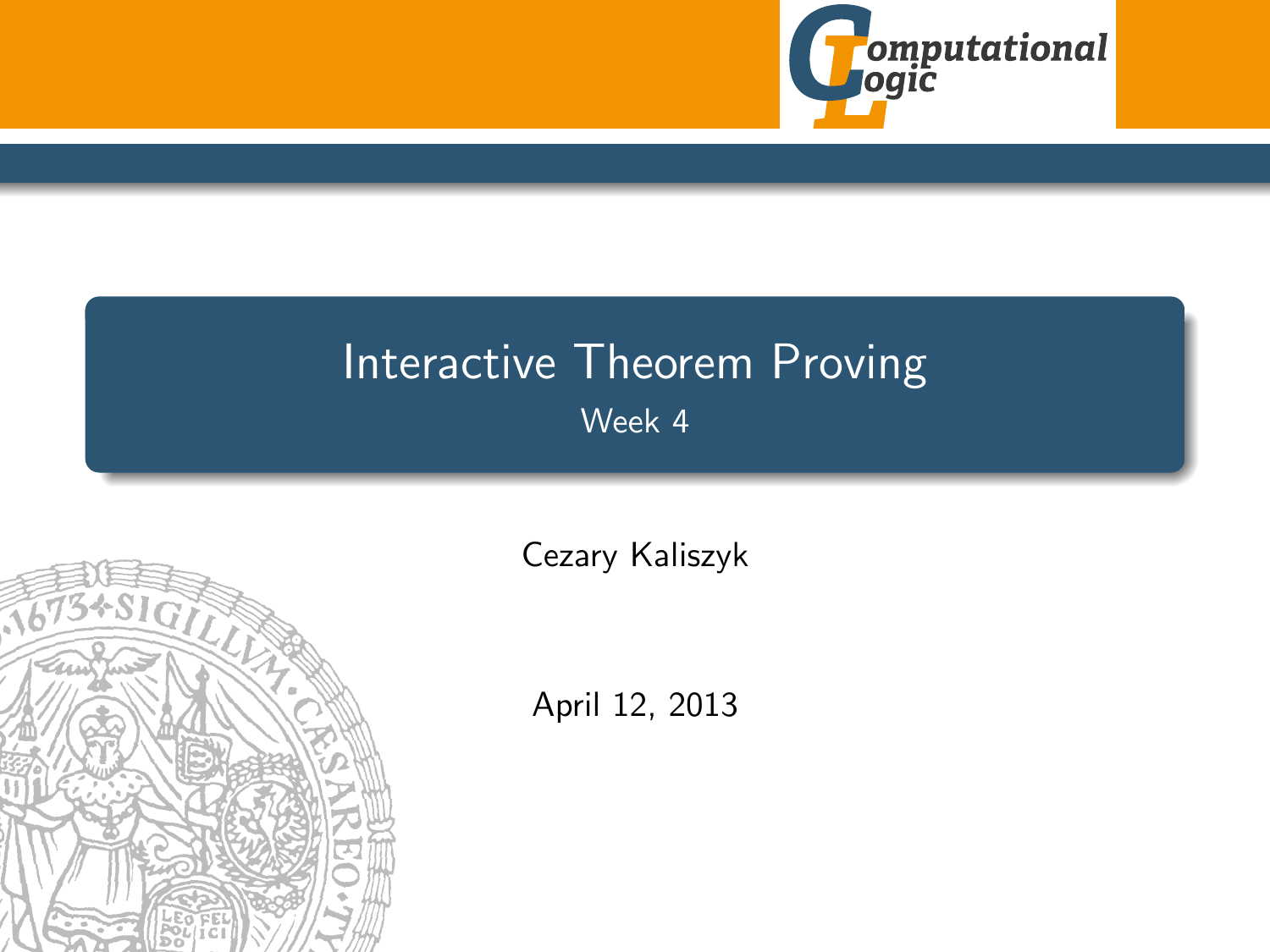

## Interactive Theorem Proving Week 4

<span id="page-0-0"></span>

[Cezary Kaliszyk](http://cl-informatik.uibk.ac.at/~cek)

April 12, 2013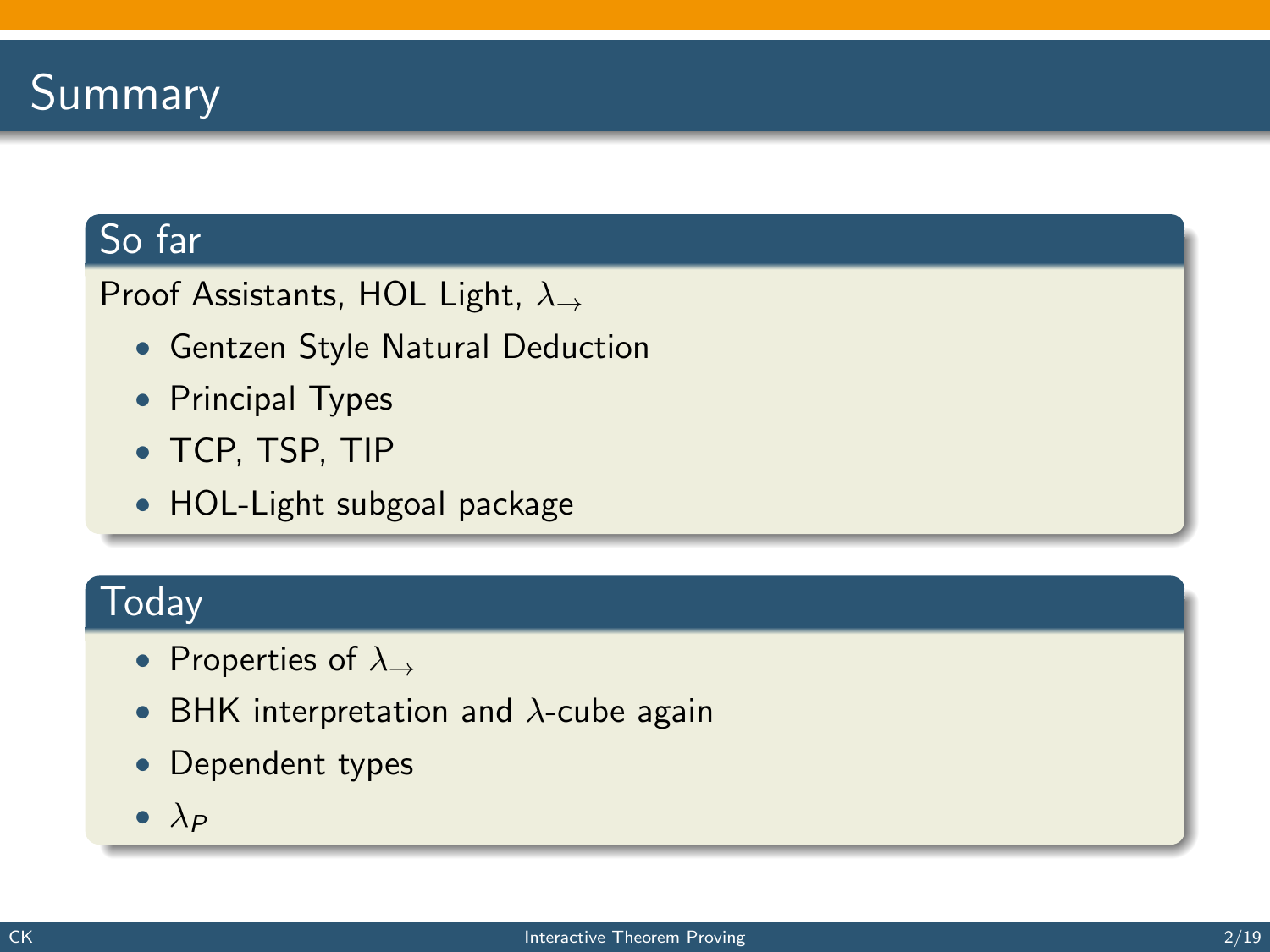## **Summary**

#### So far

Proof Assistants, HOL Light,  $\lambda \rightarrow$ 

- Gentzen Style Natural Deduction
- Principal Types
- TCP, TSP, TIP
- HOL-Light subgoal package

#### Today

- Properties of  $\lambda_{\rightarrow}$
- BHK interpretation and  $\lambda$ -cube again
- Dependent types
- $\bullet$   $\lambda_P$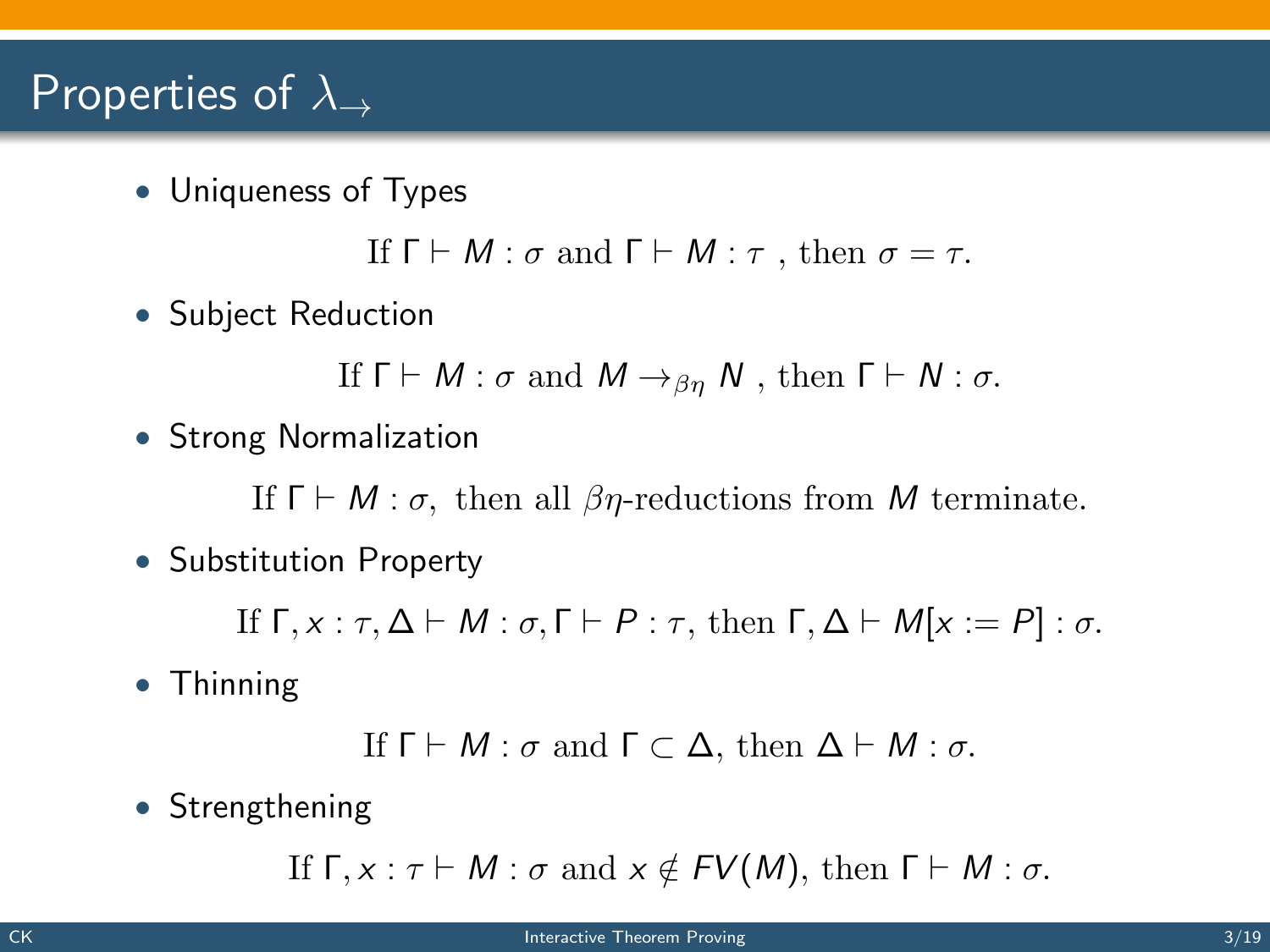### Properties of  $\lambda_{\rightarrow}$

• Uniqueness of Types

If  $\Gamma \vdash M : \sigma$  and  $\Gamma \vdash M : \tau$ , then  $\sigma = \tau$ .

• Subject Reduction

If  $\Gamma \vdash M : \sigma$  and  $M \rightarrow_{\beta n} N$ , then  $\Gamma \vdash N : \sigma$ .

• Strong Normalization

If  $\Gamma \vdash M : \sigma$ , then all  $\beta \eta$ -reductions from M terminate.

• Substitution Property

If  $\Gamma, x : \tau, \Delta \vdash M : \sigma, \Gamma \vdash P : \tau$ , then  $\Gamma, \Delta \vdash M[x := P] : \sigma$ .

• Thinning

If 
$$
\Gamma \vdash M : \sigma
$$
 and  $\Gamma \subset \Delta$ , then  $\Delta \vdash M : \sigma$ .

• Strengthening

If  $\Gamma, x : \tau \vdash M : \sigma$  and  $x \notin FV(M)$ , then  $\Gamma \vdash M : \sigma$ .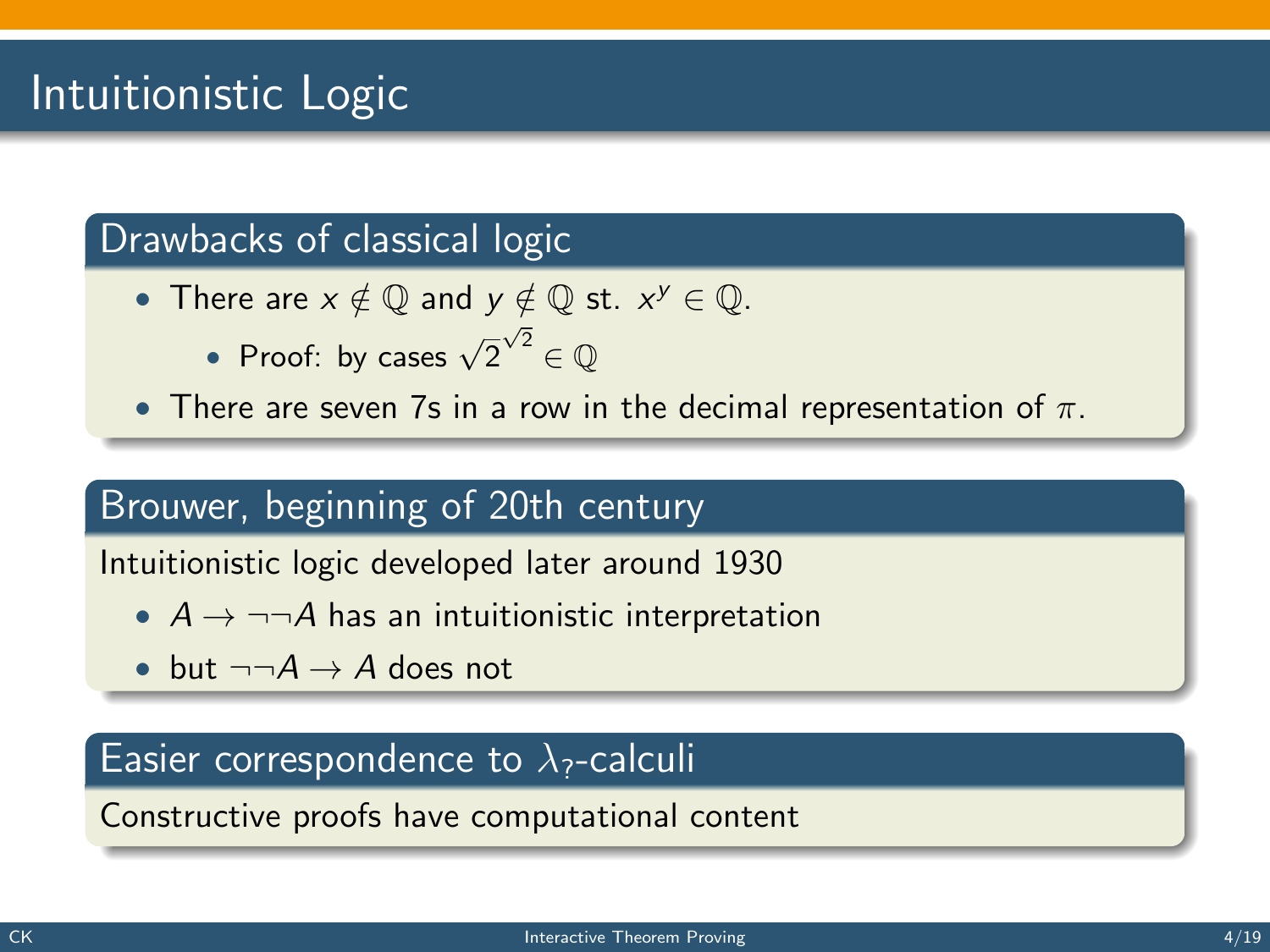## Intuitionistic Logic

#### Drawbacks of classical logic

- There are  $x \notin \mathbb{Q}$  and  $y \notin \mathbb{Q}$  st.  $x^y \in \mathbb{Q}$ .
	- Proof: by cases  $\sqrt{2}$  $\sqrt{2} \in \mathbb{Q}$
- There are seven 7s in a row in the decimal representation of  $\pi$ .

#### Brouwer, beginning of 20th century

Intuitionistic logic developed later around 1930

- $A \rightarrow \neg\neg A$  has an intuitionistic interpretation
- but  $\neg\neg A \rightarrow A$  does not

#### Easier correspondence to  $\lambda$ <sub>?</sub>-calculi

Constructive proofs have computational content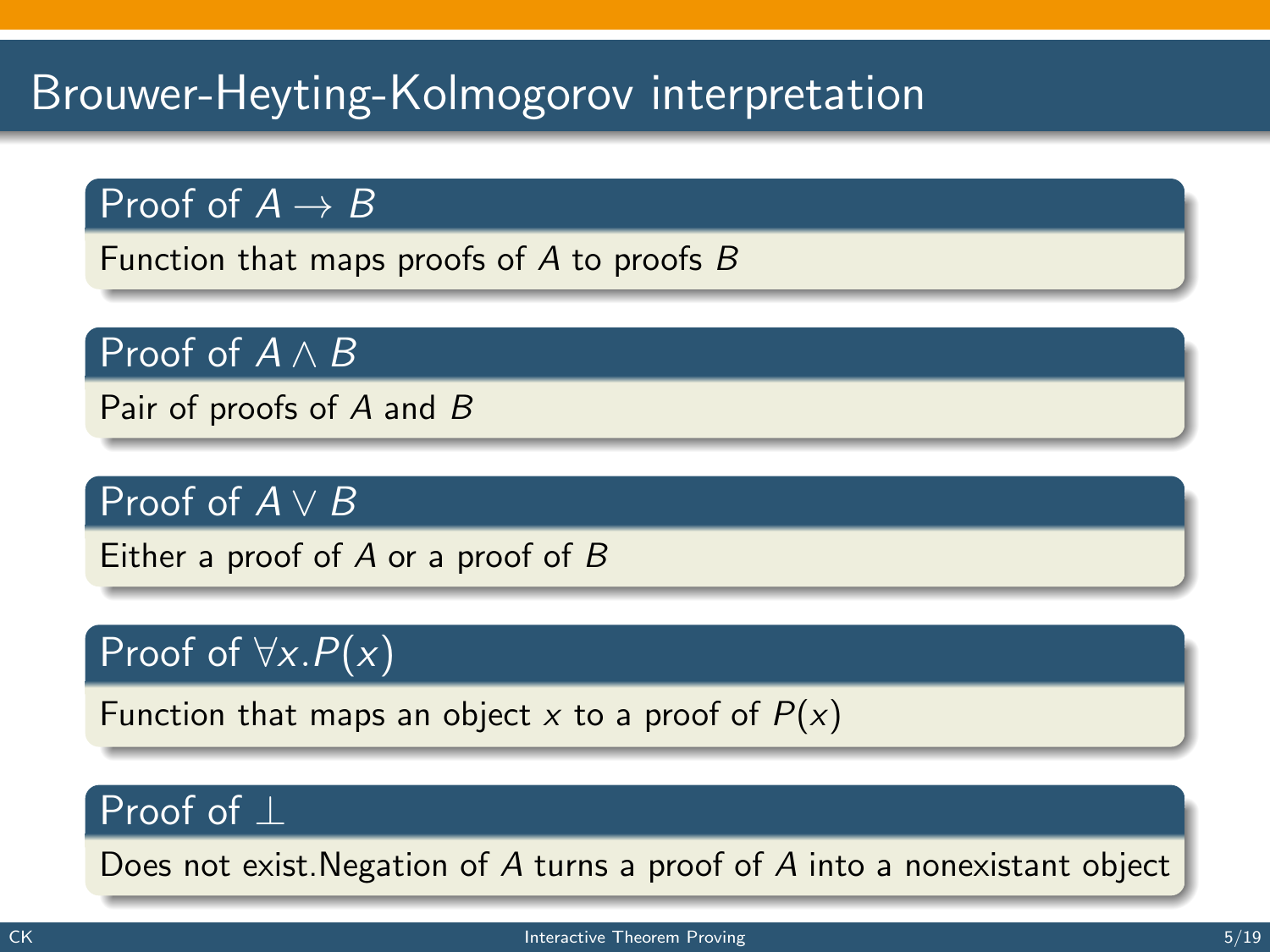## Brouwer-Heyting-Kolmogorov interpretation

#### Proof of  $A \rightarrow B$

Function that maps proofs of A to proofs B

#### Proof of  $A \wedge B$

Pair of proofs of A and B

#### Proof of  $A \vee B$

Either a proof of  $A$  or a proof of  $B$ 

#### Proof of  $\forall x.P(x)$

Function that maps an object x to a proof of  $P(x)$ 

#### Proof of ⊥

Does not exist.Negation of A turns a proof of A into a nonexistant object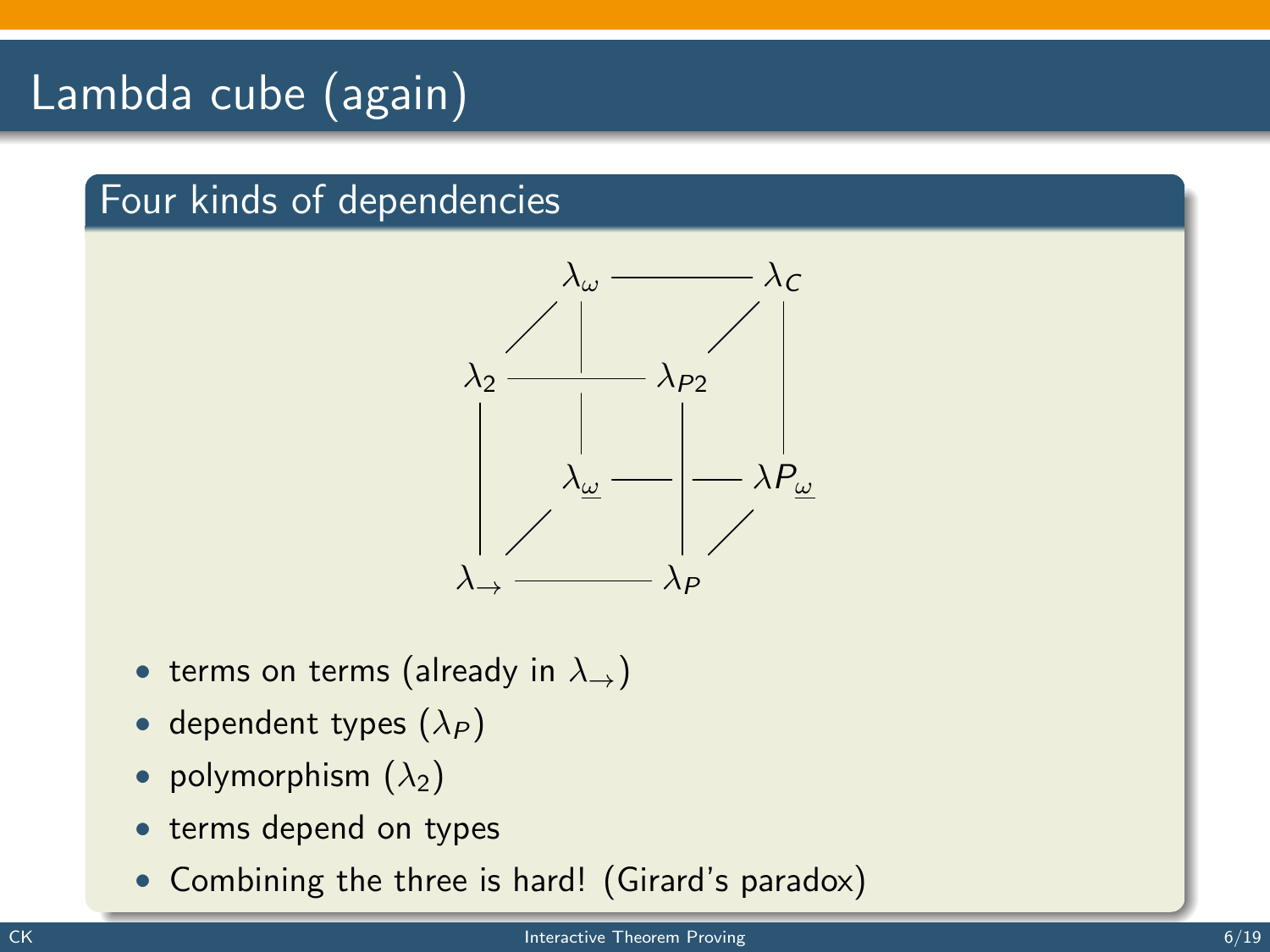## Lambda cube (again)

#### Four kinds of dependencies



- terms on terms (already in  $\lambda_{\rightarrow}$ )
- dependent types  $(\lambda_P)$
- polymorphism  $(\lambda_2)$
- terms depend on types
- Combining the three is hard! (Girard's paradox)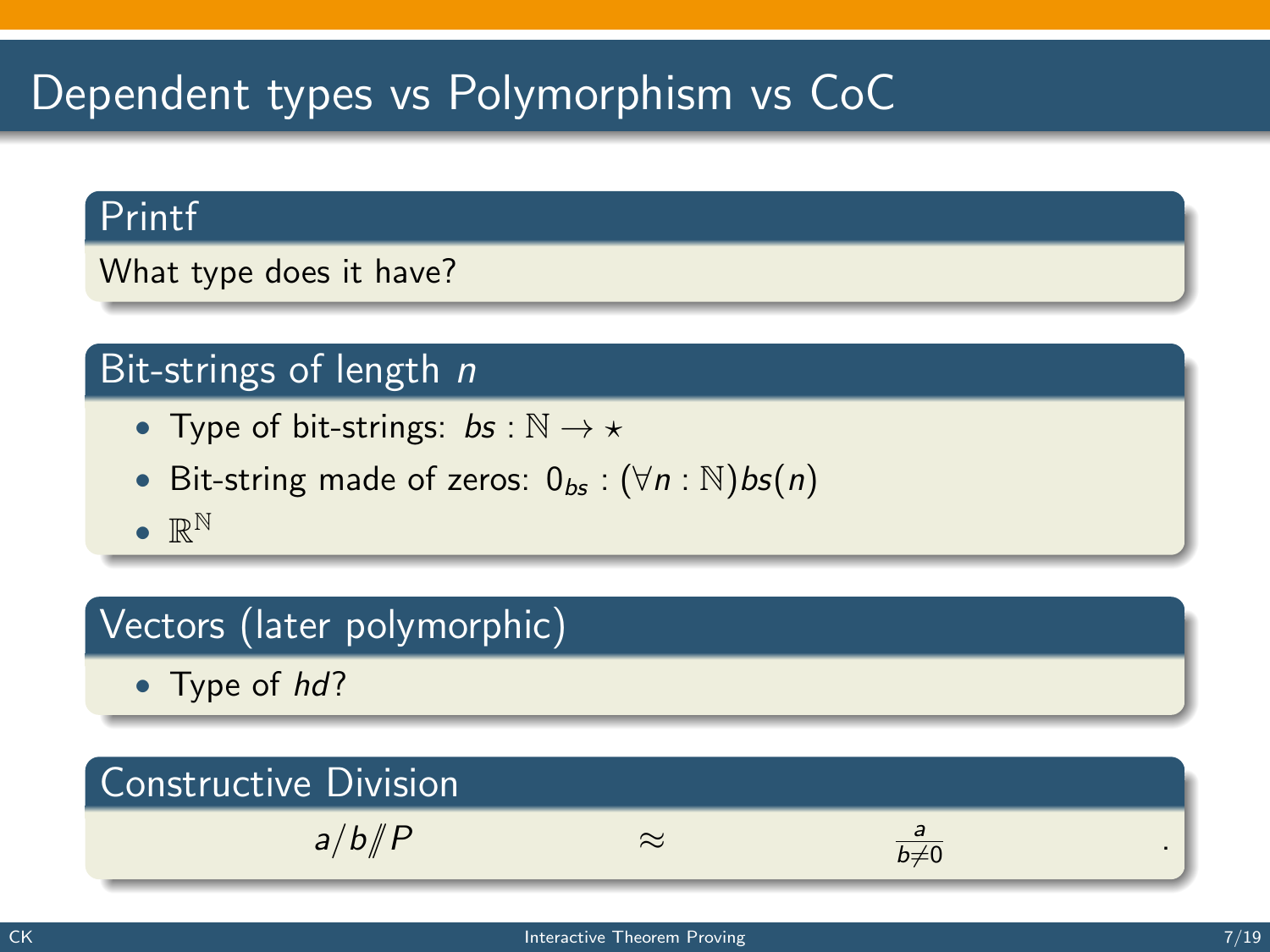## Dependent types vs Polymorphism vs CoC

#### Printf

What type does it have?

#### Bit-strings of length  $n$

- Type of bit-strings:  $bs : \mathbb{N} \to \star$
- Bit-string made of zeros:  $0_{bs}$  :  $(\forall n : \mathbb{N})$ bs $(n)$
- $\bullet \mathbb{R}^{\mathbb{N}}$

#### Vectors (later polymorphic)

• Type of hd?

#### Constructive Division  $a/b/$ *P*  $\approx$  $\frac{a}{b\neq 0}$  .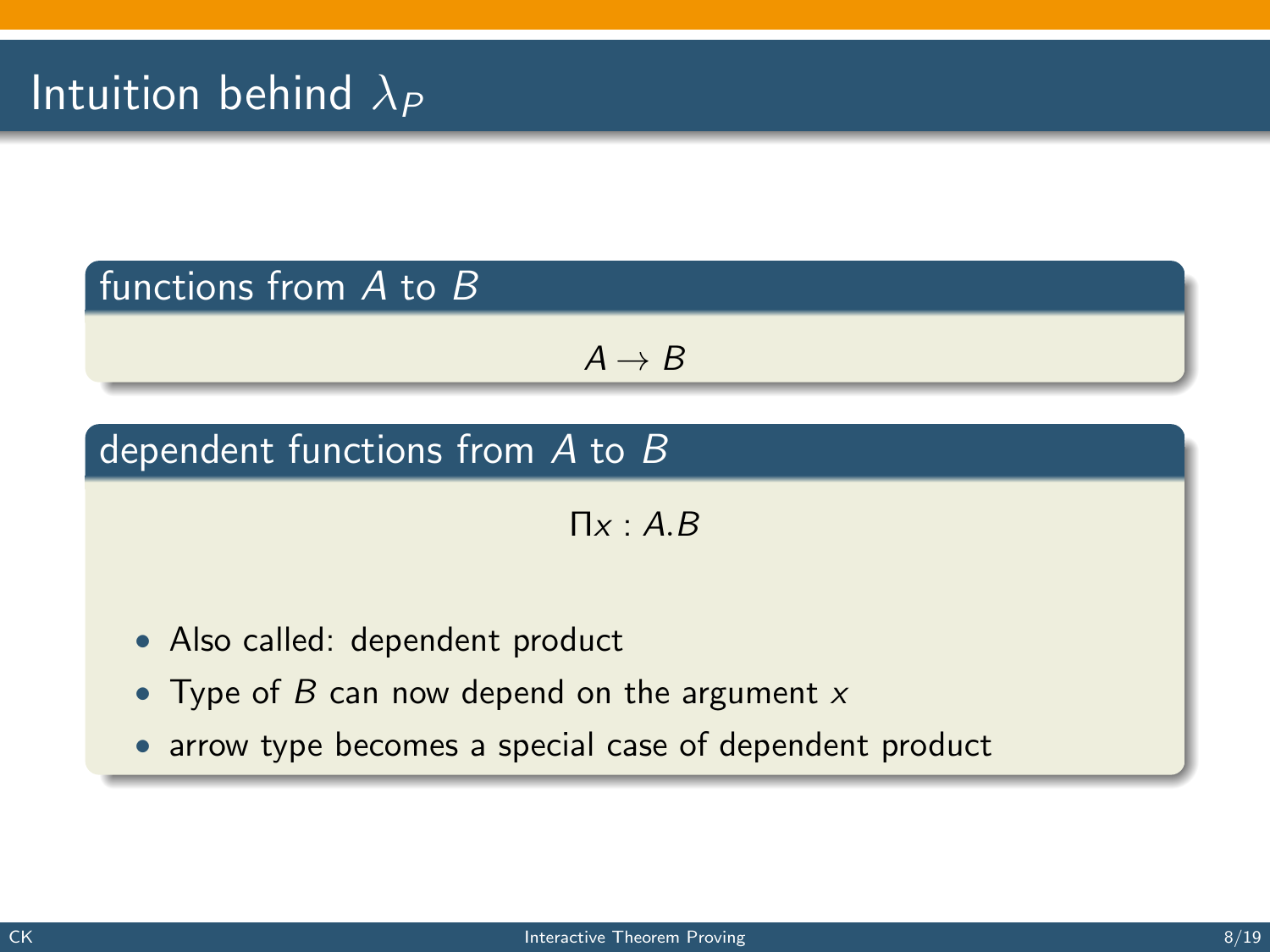#### functions from A to B

 $A \rightarrow B$ 

#### dependent functions from A to B

 $\Pi_X: A \, B$ 

- Also called: dependent product
- Type of  $B$  can now depend on the argument  $x$
- arrow type becomes a special case of dependent product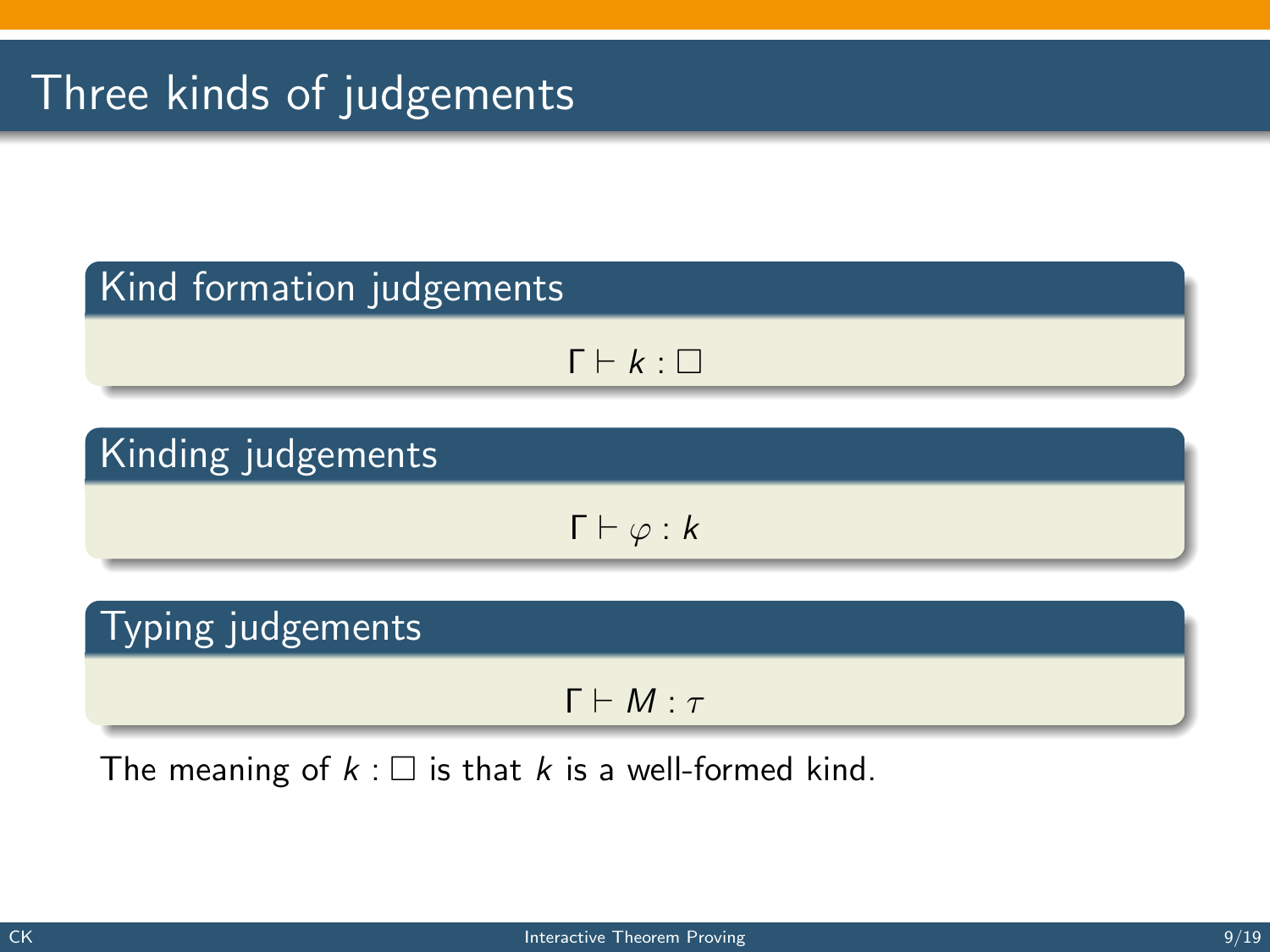## Three kinds of judgements

#### Kind formation judgements

$$
\Gamma \vdash k : \Box
$$

#### Kinding judgements

 $\Gamma \vdash \varphi : k$ 

#### Typing judgements

 $Γ ⊢ M : τ$ 

The meaning of  $k : \square$  is that k is a well-formed kind.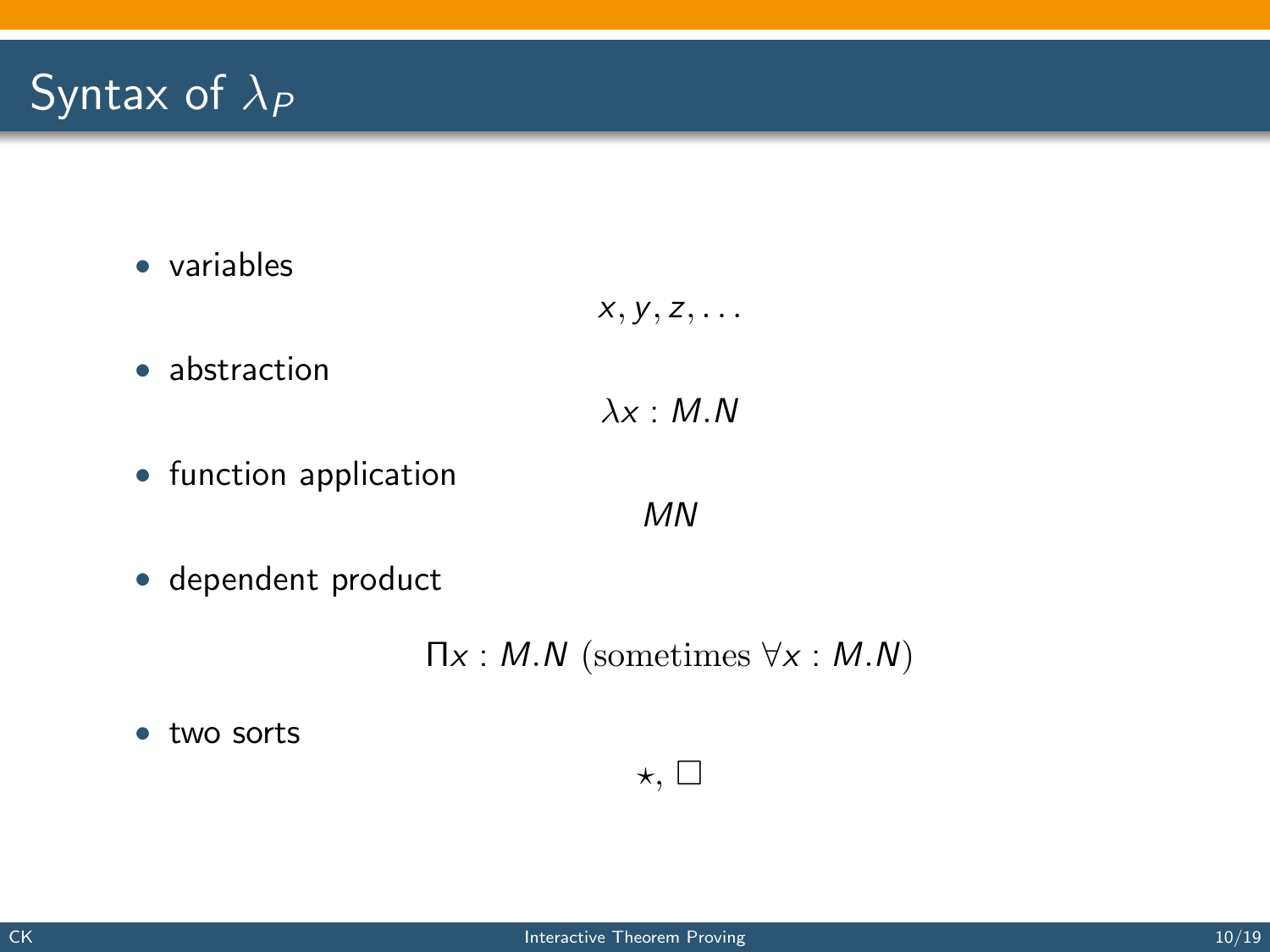## Syntax of  $\lambda_P$

• variables

$$
x, y, z, \ldots
$$

• abstraction

$$
\lambda x : M.N
$$

• function application

MN

• dependent product

 $\Pi x : M.N$  (sometimes  $\forall x : M.N$ )

 $\star$ ,  $\square$ 

• two sorts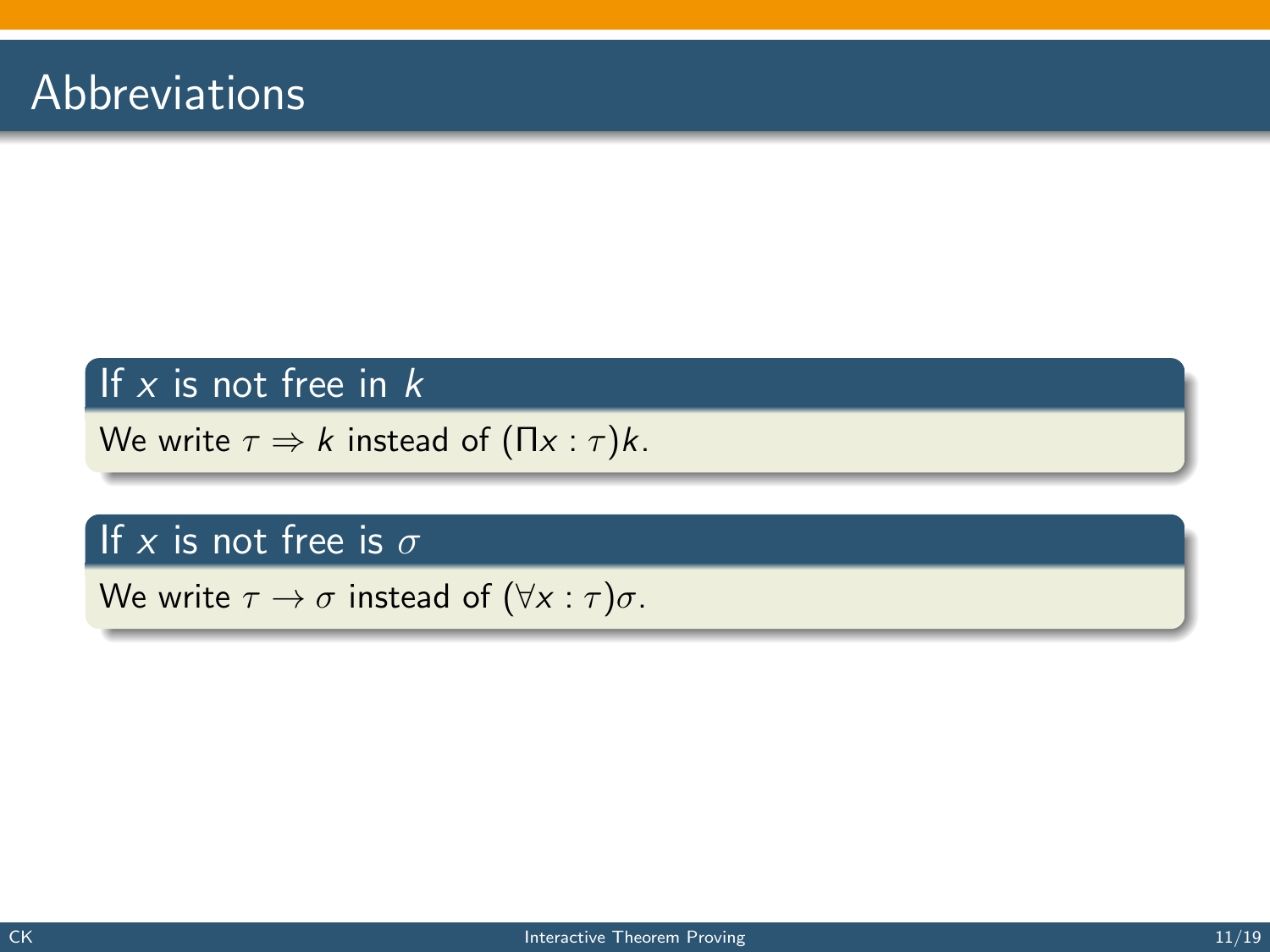#### If  $x$  is not free in  $k$

We write  $\tau \Rightarrow k$  instead of  $(\Pi x : \tau)k$ .

#### If x is not free is  $\sigma$

We write  $\tau \to \sigma$  instead of  $(\forall x : \tau)\sigma$ .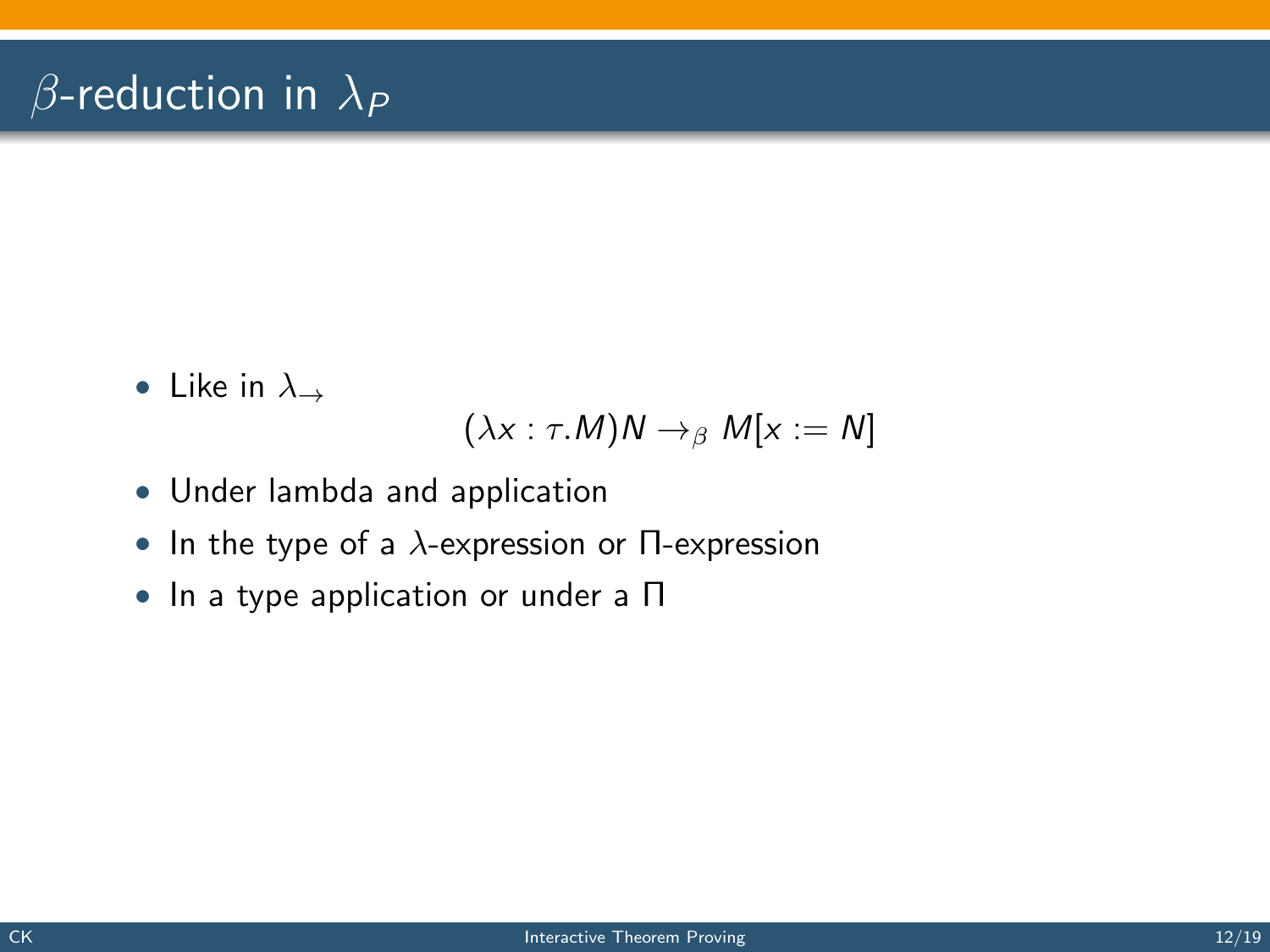## $\beta$ -reduction in  $\lambda_P$

• Like in  $\lambda_{\rightarrow}$ 

$$
(\lambda x : \tau.M)N \to_{\beta} M[x := N]
$$

- Under lambda and application
- In the type of a  $\lambda$ -expression or  $\Pi$ -expression
- In a type application or under a Π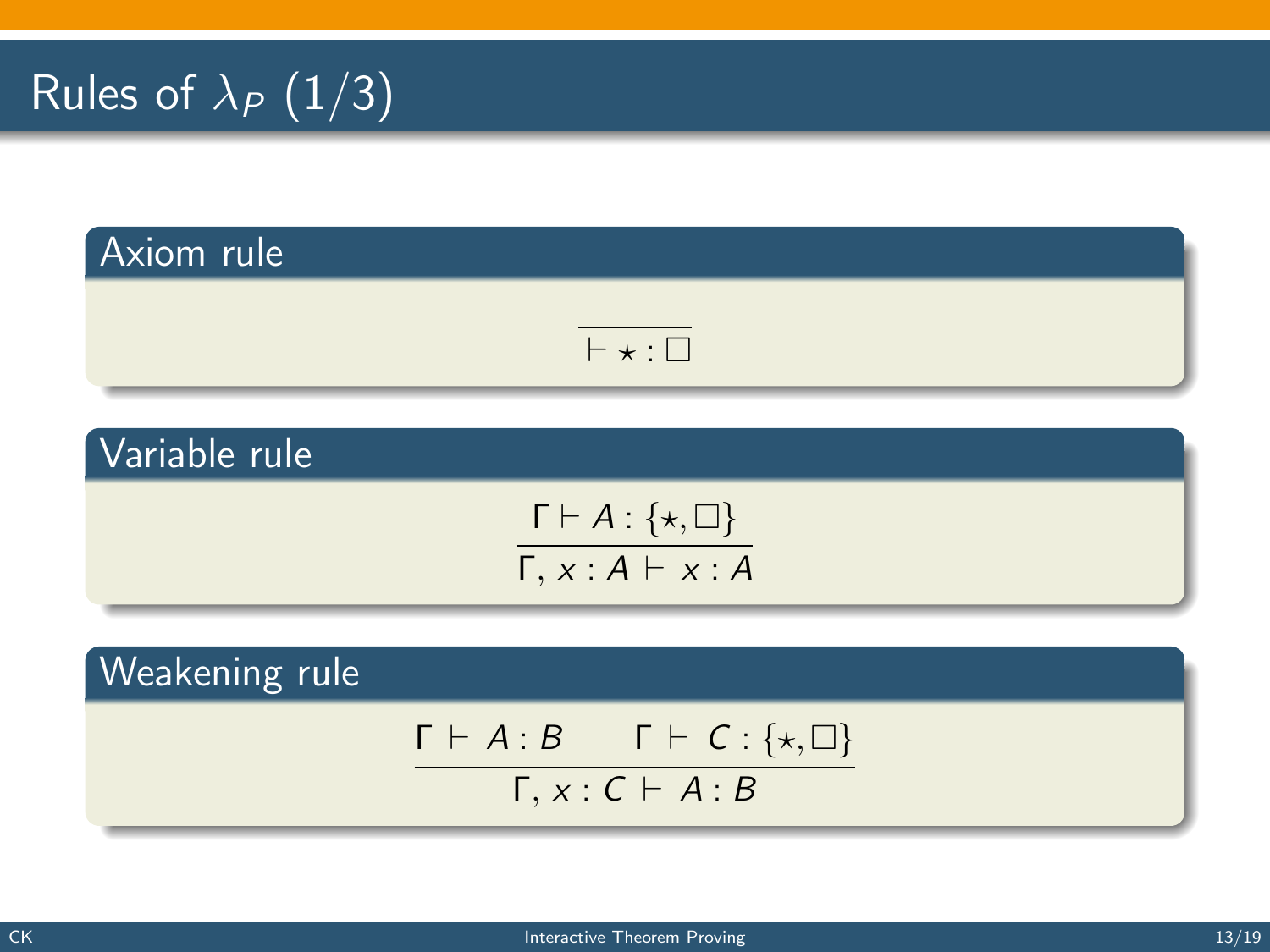# Rules of  $\lambda_P$  (1/3)

# Axiom rule  $\overline{ \vdash \star : \Box }$

#### Variable rule

$$
\frac{\Gamma \vdash A : \{\star, \Box\}}{\Gamma, x : A \vdash x : A}
$$

Weakening rule

$$
\frac{\Gamma \vdash A:B \qquad \Gamma \vdash C: \{\star, \Box\}}{\Gamma,\, x:C \vdash A:B}
$$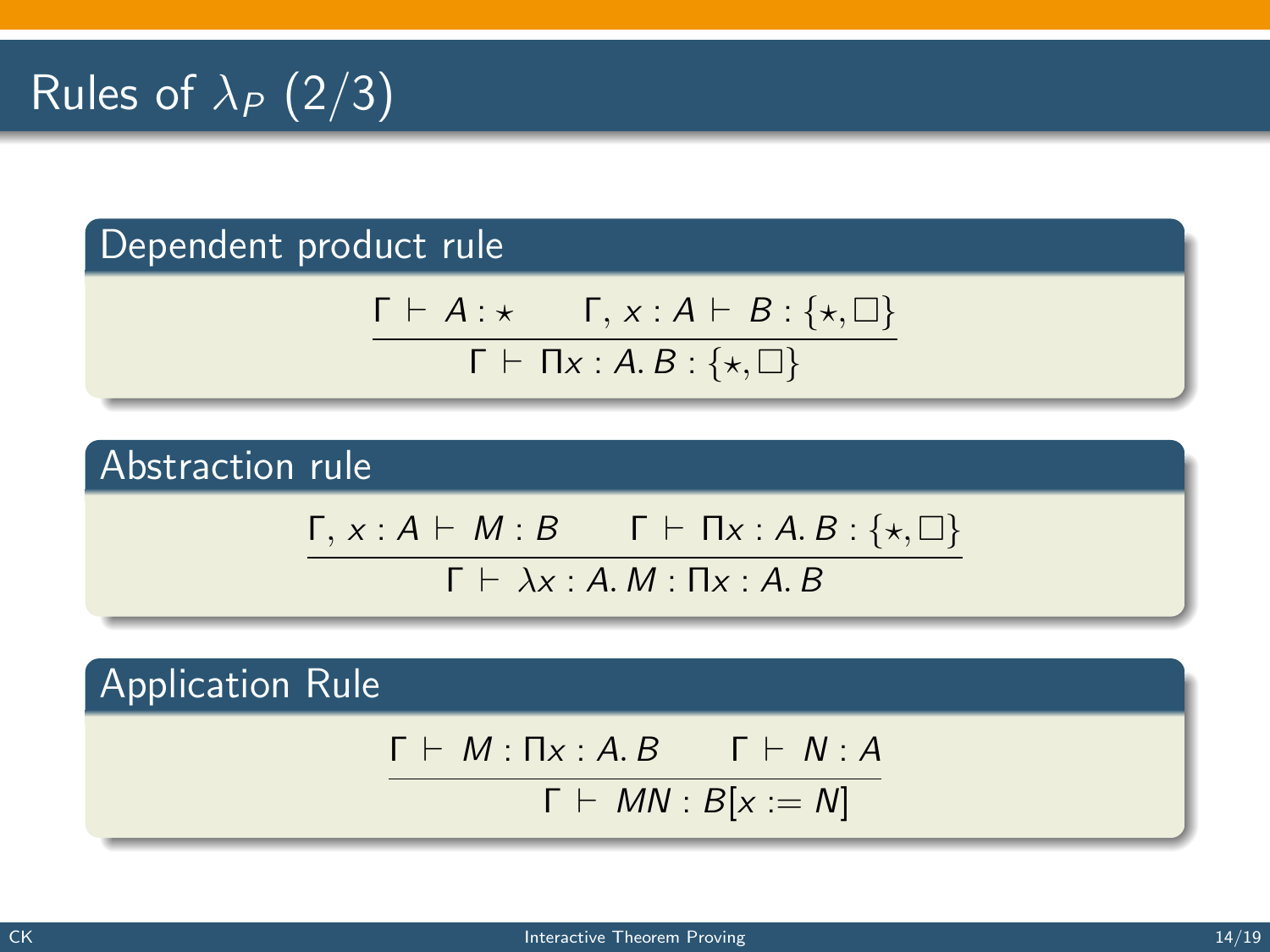# Rules of  $\lambda_P$  (2/3)

#### Dependent product rule

$$
\frac{\Gamma \vdash A : \star \qquad \Gamma, x : A \vdash B : \{\star, \Box\}}{\Gamma \vdash \Pi x : A.B : \{\star, \Box\}}
$$

#### Abstraction rule

$$
\frac{\Gamma, x:A \vdash M:B \qquad \Gamma \vdash \Pi x:A.B:\{*,\Box\}}{\Gamma \vdash \text{Area } M:B::A.B:}
$$

 $I \vdash \lambda x : A. W : I1x : A. B$ 

Application Rule

$$
\Gamma \vdash M : \Pi x : A.B \qquad \Gamma \vdash N : A
$$

$$
\Gamma \vdash MN : B[x := N]
$$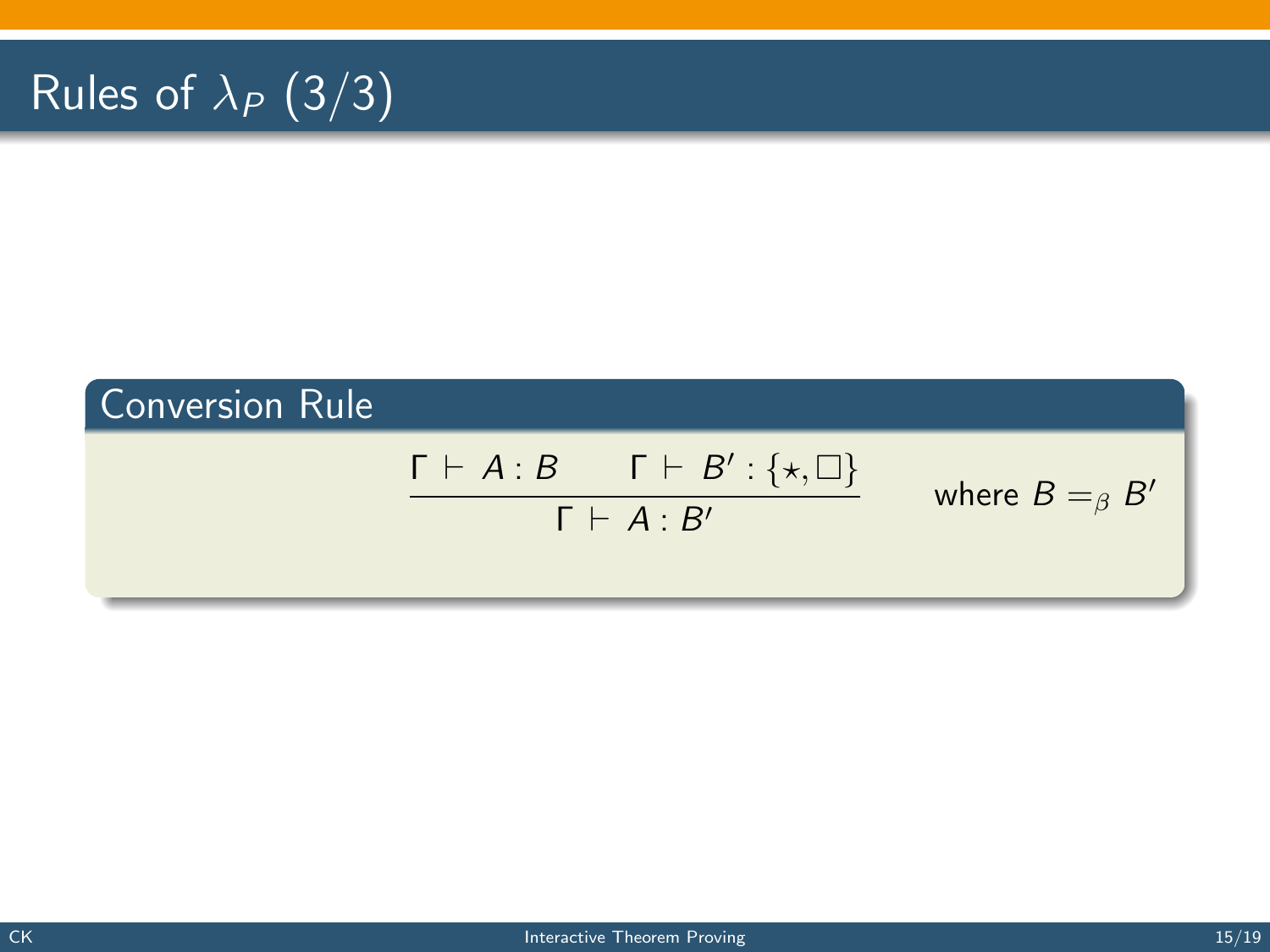# Rules of  $\lambda_P$  (3/3)

## Conversion Rule  $\Gamma \vdash A : B \qquad \Gamma \vdash B' : \{\star, \Box\}$  $Γ ⊢ A · B'$ where  $B =_{\beta} B'$